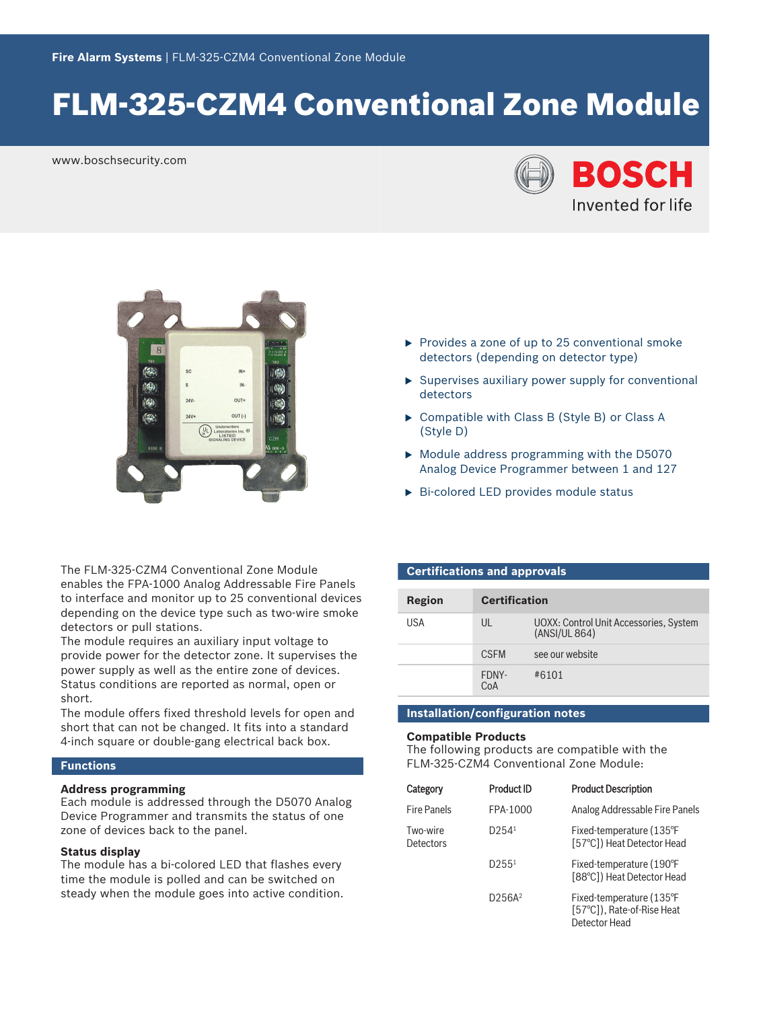# FLM‑325‑CZM4 Conventional Zone Module

www.boschsecurity.com





The FLM‑325‑CZM4 Conventional Zone Module enables the FPA‑1000 Analog Addressable Fire Panels to interface and monitor up to 25 conventional devices depending on the device type such as two-wire smoke detectors or pull stations.

The module requires an auxiliary input voltage to provide power for the detector zone. It supervises the power supply as well as the entire zone of devices. Status conditions are reported as normal, open or short.

The module offers fixed threshold levels for open and short that can not be changed. It fits into a standard 4‑inch square or double‑gang electrical back box.

### **Functions**

# **Address programming**

Each module is addressed through the D5070 Analog Device Programmer and transmits the status of one zone of devices back to the panel.

### **Status display**

The module has a bi-colored LED that flashes every time the module is polled and can be switched on steady when the module goes into active condition.

- $\triangleright$  Provides a zone of up to 25 conventional smoke detectors (depending on detector type)
- $\triangleright$  Supervises auxiliary power supply for conventional detectors
- $\triangleright$  Compatible with Class B (Style B) or Class A (Style D)
- $\triangleright$  Module address programming with the D5070 Analog Device Programmer between 1 and 127
- $\triangleright$  Bi-colored LED provides module status

# **Certifications and approvals**

| Region | <b>Certification</b> |                                                         |
|--------|----------------------|---------------------------------------------------------|
| USA    | $\mathsf{U}$         | UOXX: Control Unit Accessories, System<br>(ANSI/UL 864) |
|        | <b>CSEM</b>          | see our website                                         |
|        | FDNY-<br>CoA         | #6101                                                   |

### **Installation/configuration notes**

#### **Compatible Products**

The following products are compatible with the FLM‑325‑CZM4 Conventional Zone Module:

| Category              | <b>Product ID</b>               | <b>Product Description</b>                                              |
|-----------------------|---------------------------------|-------------------------------------------------------------------------|
| <b>Fire Panels</b>    | FPA-1000                        | Analog Addressable Fire Panels                                          |
| Two-wire<br>Detectors | D254 <sup>1</sup>               | Fixed-temperature (135°F<br>[57°C]) Heat Detector Head                  |
|                       | D255 <sup>1</sup>               | Fixed-temperature (190°F<br>[88°C]) Heat Detector Head                  |
|                       | D <sub>256</sub> A <sup>2</sup> | Fixed-temperature (135°F<br>[57°C]), Rate-of-Rise Heat<br>Detector Head |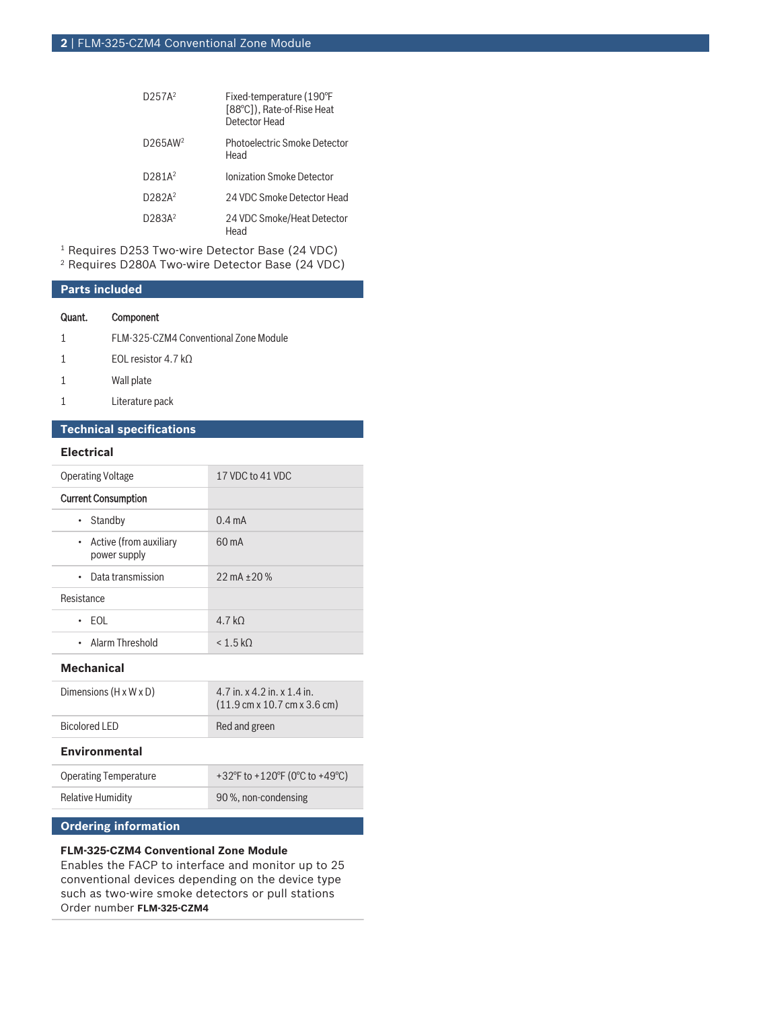| D257A <sup>2</sup>  | Fixed-temperature (190°F<br>[88°C]), Rate-of-Rise Heat<br>Detector Head |
|---------------------|-------------------------------------------------------------------------|
| D265AW <sup>2</sup> | Photoelectric Smoke Detector<br>Head                                    |
| D281A <sup>2</sup>  | Ionization Smoke Detector                                               |
| D282A <sup>2</sup>  | 24 VDC Smoke Detector Head                                              |
| D283A <sup>2</sup>  | 24 VDC Smoke/Heat Detector<br>Head                                      |

1 Requires D253 Two‑wire Detector Base (24 VDC)

2 Requires D280A Two‑wire Detector Base (24 VDC)

# **Parts included**

### Quant. Component

| FLM-325-CZM4 Conventional Zone Module |
|---------------------------------------|
| FOI resistor $4.7 kO$                 |

- 1 Wall plate
- 1 Literature pack

# **Technical specifications**

# **Electrical**

| <b>Operating Voltage</b>                 | 17 VDC to 41 VDC        |
|------------------------------------------|-------------------------|
| <b>Current Consumption</b>               |                         |
| Standby<br>$\bullet$                     | $0.4 \text{ mA}$        |
| • Active (from auxiliary<br>power supply | $60 \text{ mA}$         |
| Data transmission<br>$\bullet$           | $22 \text{ mA} + 20 \%$ |
| Resistance                               |                         |
| $\cdot$ FOI                              | 4.7 kO                  |
| • Alarm Threshold                        | < 1.5 kO                |

### **Mechanical**

| Bicolored LED                      | Red and green                                                                                       |
|------------------------------------|-----------------------------------------------------------------------------------------------------|
| Dimensions $(H \times W \times D)$ | 4.7 in. $x$ 4.2 in. $x$ 1.4 in.<br>$(11.9 \text{ cm} \times 10.7 \text{ cm} \times 3.6 \text{ cm})$ |

# **Environmental**

| <b>Operating Temperature</b> | +32°F to +120°F (0°C to +49°C) |
|------------------------------|--------------------------------|
| Relative Humidity            | 90 %, non-condensing           |
|                              |                                |

# **Ordering information**

# **FLM‑325‑CZM4 Conventional Zone Module**

Enables the FACP to interface and monitor up to 25 conventional devices depending on the device type such as two-wire smoke detectors or pull stations Order number **FLM-325-CZM4**